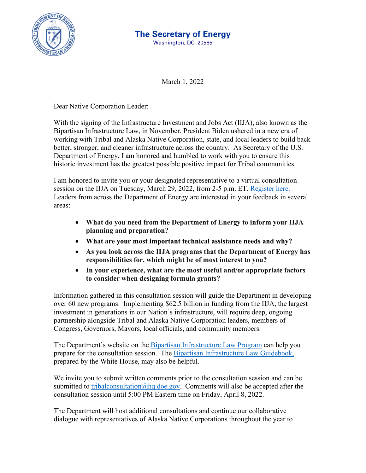

## **The Secretary of Energy**

Washington, DC 20585

March 1, 2022

Dear Native Corporation Leader:

With the signing of the Infrastructure Investment and Jobs Act (IIJA), also known as the Bipartisan Infrastructure Law, in November, President Biden ushered in a new era of working with Tribal and Alaska Native Corporation, state, and local leaders to build back better, stronger, and cleaner infrastructure across the country. As Secretary of the U.S. Department of Energy, I am honored and humbled to work with you to ensure this historic investment has the greatest possible positive impact for Tribal communities.

I am honored to invite you or your designated representative to a virtual consultation session on the IIJA on Tuesday, March 29, 2022, from 2-5 p.m. ET. [Register here.](https://nrel.zoomgov.com/meeting/register/vJIsde2rrDsoGGKCo98fLqzpD99E-Vmzzww) Leaders from across the Department of Energy are interested in your feedback in several areas:

- **What do you need from the Department of Energy to inform your IIJA planning and preparation?**
- **What are your most important technical assistance needs and why?**
- **As you look across the IIJA programs that the Department of Energy has responsibilities for, which might be of most interest to you?**
- **In your experience, what are the most useful and/or appropriate factors to consider when designing formula grants?**

Information gathered in this consultation session will guide the Department in developing over 60 new programs. Implementing \$62.5 billion in funding from the IIJA, the largest investment in generations in our Nation's infrastructure, will require deep, ongoing partnership alongside Tribal and Alaska Native Corporation leaders, members of Congress, Governors, Mayors, local officials, and community members.

The Department's website on the [Bipartisan Infrastructure Law Program](https://www.energy.gov/bil/bipartisan-infrastructure-law-programs) can help you prepare for the consultation session. The [Bipartisan Infrastructure Law Guidebook,](https://www.whitehouse.gov/wp-content/uploads/2022/01/BUILDING-A-BETTER-AMERICA_FINAL.pdf) prepared by the White House, may also be helpful.

We invite you to submit written comments prior to the consultation session and can be submitted to [tribalconsultation@hq.doe.gov.](mailto:tribalconsultation@hq.doe.gov) Comments will also be accepted after the consultation session until 5:00 PM Eastern time on Friday, April 8, 2022.

The Department will host additional consultations and continue our collaborative dialogue with representatives of Alaska Native Corporations throughout the year to